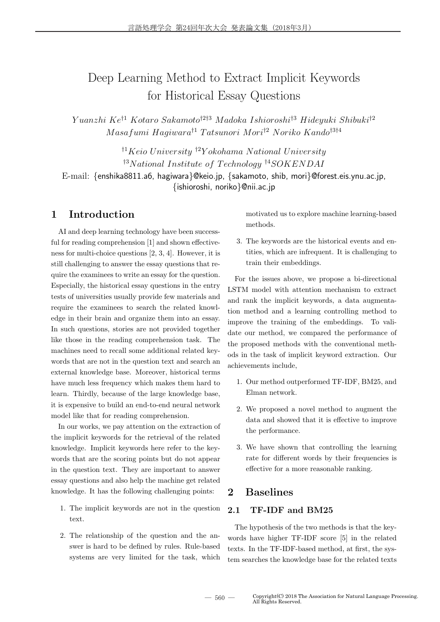# Deep Learning Method to Extract Implicit Keywords for Historical Essay Questions

*Y uanzhi Ke†*<sup>1</sup> *Kotaro Sakamoto†*2*†*<sup>3</sup> *M adoka Ishioroshi†*<sup>3</sup> *Hideyuki Shibuki†*<sup>2</sup> *M asafumi Hagiwara†*<sup>1</sup> *T atsunori Mori†*<sup>2</sup> *Noriko Kando†*3*†*<sup>4</sup>

*†*<sup>1</sup>*Keio University †*<sup>2</sup>*Y okohama N ational University †*<sup>3</sup>*N ational Institute of T echnology †*<sup>4</sup>*SOKENDAI* E-mail: *{*enshika8811.a6, hagiwara*}*@keio.jp, *{*sakamoto, shib, mori*}*@forest.eis.ynu.ac.jp, *{*ishioroshi, noriko*}*@nii.ac.jp

# **1 Introduction**

AI and deep learning technology have been successful for reading comprehension [1] and shown effectiveness for multi-choice questions [2, 3, 4]. However, it is still challenging to answer the essay questions that require the examinees to write an essay for the question. Especially, the historical essay questions in the entry tests of universities usually provide few materials and require the examinees to search the related knowledge in their brain and organize them into an essay. In such questions, stories are not provided together like those in the reading comprehension task. The machines need to recall some additional related keywords that are not in the question text and search an external knowledge base. Moreover, historical terms have much less frequency which makes them hard to learn. Thirdly, because of the large knowledge base, it is expensive to build an end-to-end neural network model like that for reading comprehension.

In our works, we pay attention on the extraction of the implicit keywords for the retrieval of the related knowledge. Implicit keywords here refer to the keywords that are the scoring points but do not appear in the question text. They are important to answer essay questions and also help the machine get related knowledge. It has the following challenging points:

- 1. The implicit keywords are not in the question text.
- 2. The relationship of the question and the answer is hard to be defined by rules. Rule-based systems are very limited for the task, which

motivated us to explore machine learning-based methods.

3. The keywords are the historical events and entities, which are infrequent. It is challenging to train their embeddings.

For the issues above, we propose a bi-directional LSTM model with attention mechanism to extract and rank the implicit keywords, a data augmentation method and a learning controlling method to improve the training of the embeddings. To validate our method, we compared the performance of the proposed methods with the conventional methods in the task of implicit keyword extraction. Our achievements include,

- 1. Our method outperformed TF-IDF, BM25, and Elman network.
- 2. We proposed a novel method to augment the data and showed that it is effective to improve the performance.
- 3. We have shown that controlling the learning rate for different words by their frequencies is effective for a more reasonable ranking.

### **2 Baselines**

### **2.1 TF-IDF and BM25**

The hypothesis of the two methods is that the keywords have higher TF-IDF score [5] in the related texts. In the TF-IDF-based method, at first, the system searches the knowledge base for the related texts

 $-560 -$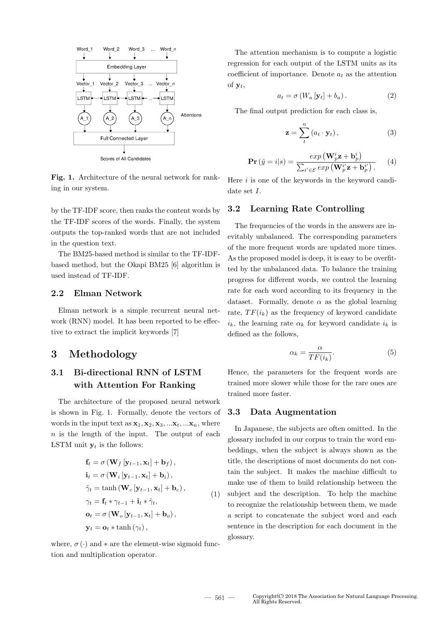

**Fig. 1.** Architecture of the neural network for ranking in our system.

by the TF-IDF score, then ranks the content words by the TF-IDF scores of the words. Finally, the system outputs the top-ranked words that are not included in the question text.

The BM25-based method is similar to the TF-IDFbased method, but the Okapi BM25 [6] algorithm is used instead of TF-IDF.

#### **2.2 Elman Network**

Elman network is a simple recurrent neural network (RNN) model. It has been reported to be effective to extract the implicit keywords [7]

## **3 Methodology**

# **3.1 Bi-directional RNN of LSTM with Attention For Ranking**

The architecture of the proposed neural network is shown in Fig. 1. Formally, denote the vectors of words in the input text as  $\mathbf{x}_1, \mathbf{x}_2, \mathbf{x}_3, \dots, \mathbf{x}_t, \dots, \mathbf{x}_n$ , where *n* is the length of the input. The output of each **LSTM** unit  $y_t$  is the follows:

$$
\mathbf{f}_{t} = \sigma \left(\mathbf{W}_{f} \left[\mathbf{y}_{t-1}, \mathbf{x}_{t}\right] + \mathbf{b}_{f}\right),
$$
\n
$$
\mathbf{i}_{t} = \sigma \left(\mathbf{W}_{i} \left[\mathbf{y}_{t-1}, \mathbf{x}_{t}\right] + \mathbf{b}_{i}\right),
$$
\n
$$
\tilde{\gamma}_{t} = \tanh \left(\mathbf{W}_{c} \left[\mathbf{y}_{t-1}, \mathbf{x}_{t}\right] + \mathbf{b}_{c}\right),
$$
\n
$$
\gamma_{t} = \mathbf{f}_{t} * \gamma_{t-1} + \mathbf{i}_{t} * \tilde{\gamma}_{t},
$$
\n
$$
\mathbf{o}_{t} = \sigma \left(\mathbf{W}_{o} \left[\mathbf{y}_{t-1}, \mathbf{x}_{t}\right] + \mathbf{b}_{o}\right),
$$
\n
$$
\mathbf{y}_{t} = \mathbf{o}_{t} * \tanh \left(\gamma_{t}\right),
$$
\n(1)

where,  $\sigma(\cdot)$  and  $*$  are the element-wise sigmoid function and multiplication operator.

The attention mechanism is to compute a logistic regression for each output of the LSTM units as its coefficient of importance. Denote  $a_t$  as the attention of  $y_t$ ,

$$
a_t = \sigma \left( W_a \left[ \mathbf{y}_t \right] + b_a \right). \tag{2}
$$

The final output prediction for each class is,

$$
\mathbf{z} = \sum_{t}^{n} (a_t \cdot \mathbf{y}_t), \qquad (3)
$$

$$
\mathbf{Pr}\left(\hat{y} = i | s\right) = \frac{\exp\left(\mathbf{W}_p^i \mathbf{z} + \mathbf{b}_p^i\right)}{\sum_{i' \in \mathcal{E}} \exp\left(\mathbf{W}_p^i \mathbf{z} + \mathbf{b}_p^i\right)}.
$$
 (4)

Here *i* is one of the keywords in the keyword candidate set *I*.

#### **3.2 Learning Rate Controlling**

The frequencies of the words in the answers are inevitably unbalanced. The corresponding parameters of the more frequent words are updated more times. As the proposed model is deep, it is easy to be overfitted by the unbalanced data. To balance the training progress for different words, we control the learning rate for each word according to its frequency in the dataset. Formally, denote  $\alpha$  as the global learning rate,  $TF(i_k)$  as the frequency of keyword candidate  $i_k$ , the learning rate  $\alpha_k$  for keyword candidate  $i_k$  is defined as the follows,

$$
\alpha_k = \frac{\alpha}{TF(i_k)}.\tag{5}
$$

Hence, the parameters for the frequent words are trained more slower while those for the rare ones are trained more faster.

#### **3.3 Data Augmentation**

In Japanese, the subjects are often omitted. In the glossary included in our corpus to train the word embeddings, when the subject is always shown as the title, the descriptions of most documents do not contain the subject. It makes the machine difficult to make use of them to build relationship between the subject and the description. To help the machine to recognize the relationship between them, we made a script to concatenate the subject word and each sentence in the description for each document in the glossary.

 $\lambda$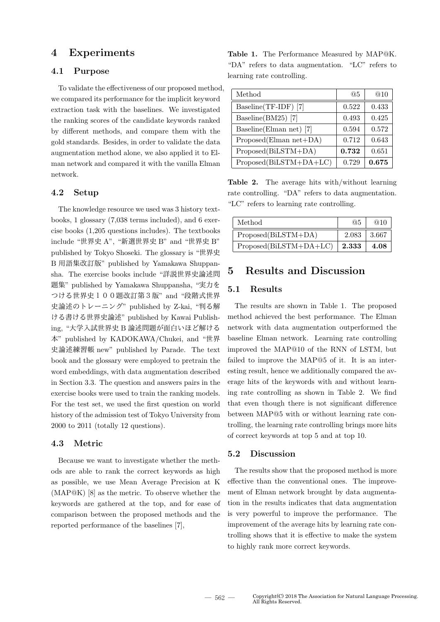### **4 Experiments**

### **4.1 Purpose**

To validate the effectiveness of our proposed method, we compared its performance for the implicit keyword extraction task with the baselines. We investigated the ranking scores of the candidate keywords ranked by different methods, and compare them with the gold standards. Besides, in order to validate the data augmentation method alone, we also applied it to Elman network and compared it with the vanilla Elman network.

#### **4.2 Setup**

The knowledge resource we used was 3 history textbooks, 1 glossary (7,038 terms included), and 6 exercise books (1,205 questions includes). The textbooks include "世界史 A", "新選世界史 B" and "世界史 B" published by Tokyo Shoseki. The glossary is "世界史 B 用語集改訂版" published by Yamakawa Shuppansha. The exercise books include "詳説世界史論述問 題集" published by Yamakawa Shuppansha, "実力を つける世界史100題改訂第3版" and "段階式世界 史論述のトレーニング" published by Z-kai, "判る解 ける書ける世界史論述" published by Kawai Publishing, "大学入試世界史 B 論述問題が面白いほど解ける 本" published by KADOKAWA/Chukei, and "世界 史論述練習帳 new" published by Parade. The text book and the glossary were employed to pretrain the word embeddings, with data augmentation described in Section 3.3. The question and answers pairs in the exercise books were used to train the ranking models. For the test set, we used the first question on world history of the admission test of Tokyo University from 2000 to 2011 (totally 12 questions).

#### **4.3 Metric**

Because we want to investigate whether the methods are able to rank the correct keywords as high as possible, we use Mean Average Precision at K (MAP@K) [8] as the metric. To observe whether the keywords are gathered at the top, and for ease of comparison between the proposed methods and the reported performance of the baselines [7],

**Table 1.** The Performance Measured by MAP@K. "DA" refers to data augmentation. "LC" refers to learning rate controlling.

| Method                   | @5    | @10   |
|--------------------------|-------|-------|
| Baseline(TF-IDF) [7]     | 0.522 | 0.433 |
| Baseline(BM25) [7]       | 0.493 | 0.425 |
| Baseline (Elman net) [7] | 0.594 | 0.572 |
| $Proposed(Elman net+DA)$ | 0.712 | 0.643 |
| Proposed(BiLSTM+DA)      | 0.732 | 0.651 |
| Proposed(BiLSTM+DA+LC)   | 0.729 | 0.675 |

**Table 2.** The average hits with/without learning rate controlling. "DA" refers to data augmentation. "LC" refers to learning rate controlling.

| Method                 | @5    | @10    |
|------------------------|-------|--------|
| Proposed(BiLSTM+DA)    | 2.083 | -3.667 |
| Proposed(BiLSTM+DA+LC) | 2.333 | 4.08   |

# **5 Results and Discussion**

### **5.1 Results**

The results are shown in Table 1. The proposed method achieved the best performance. The Elman network with data augmentation outperformed the baseline Elman network. Learning rate controlling improved the MAP@10 of the RNN of LSTM, but failed to improve the MAP@5 of it. It is an interesting result, hence we additionally compared the average hits of the keywords with and without learning rate controlling as shown in Table 2. We find that even though there is not significant difference between MAP@5 with or without learning rate controlling, the learning rate controlling brings more hits of correct keywords at top 5 and at top 10.

#### **5.2 Discussion**

The results show that the proposed method is more effective than the conventional ones. The improvement of Elman network brought by data augmentation in the results indicates that data augmentation is very powerful to improve the performance. The improvement of the average hits by learning rate controlling shows that it is effective to make the system to highly rank more correct keywords.